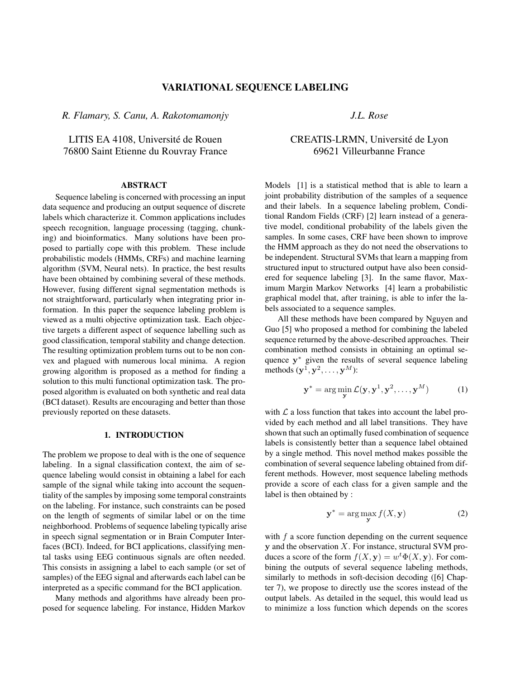# VARIATIONAL SEQUENCE LABELING

*R. Flamary, S. Canu, A. Rakotomamonjy*

LITIS EA 4108, Université de Rouen 76800 Saint Etienne du Rouvray France

### ABSTRACT

Sequence labeling is concerned with processing an input data sequence and producing an output sequence of discrete labels which characterize it. Common applications includes speech recognition, language processing (tagging, chunking) and bioinformatics. Many solutions have been proposed to partially cope with this problem. These include probabilistic models (HMMs, CRFs) and machine learning algorithm (SVM, Neural nets). In practice, the best results have been obtained by combining several of these methods. However, fusing different signal segmentation methods is not straightforward, particularly when integrating prior information. In this paper the sequence labeling problem is viewed as a multi objective optimization task. Each objective targets a different aspect of sequence labelling such as good classification, temporal stability and change detection. The resulting optimization problem turns out to be non convex and plagued with numerous local minima. A region growing algorithm is proposed as a method for finding a solution to this multi functional optimization task. The proposed algorithm is evaluated on both synthetic and real data (BCI dataset). Results are encouraging and better than those previously reported on these datasets.

# 1. INTRODUCTION

The problem we propose to deal with is the one of sequence labeling. In a signal classification context, the aim of sequence labeling would consist in obtaining a label for each sample of the signal while taking into account the sequentiality of the samples by imposing some temporal constraints on the labeling. For instance, such constraints can be posed on the length of segments of similar label or on the time neighborhood. Problems of sequence labeling typically arise in speech signal segmentation or in Brain Computer Interfaces (BCI). Indeed, for BCI applications, classifying mental tasks using EEG continuous signals are often needed. This consists in assigning a label to each sample (or set of samples) of the EEG signal and afterwards each label can be interpreted as a specific command for the BCI application.

Many methods and algorithms have already been proposed for sequence labeling. For instance, Hidden Markov *J.L. Rose*

# CREATIS-LRMN, Universite de Lyon ´ 69621 Villeurbanne France

Models [1] is a statistical method that is able to learn a joint probability distribution of the samples of a sequence and their labels. In a sequence labeling problem, Conditional Random Fields (CRF) [2] learn instead of a generative model, conditional probability of the labels given the samples. In some cases, CRF have been shown to improve the HMM approach as they do not need the observations to be independent. Structural SVMs that learn a mapping from structured input to structured output have also been considered for sequence labeling [3]. In the same flavor, Maximum Margin Markov Networks [4] learn a probabilistic graphical model that, after training, is able to infer the labels associated to a sequence samples.

All these methods have been compared by Nguyen and Guo [5] who proposed a method for combining the labeled sequence returned by the above-described approaches. Their combination method consists in obtaining an optimal sequence y<sup>∗</sup> given the results of several sequence labeling methods  $(\mathbf{y}^1, \mathbf{y}^2, \dots, \mathbf{y}^M)$ :

$$
\mathbf{y}^* = \arg\min_{\mathbf{y}} \mathcal{L}(\mathbf{y}, \mathbf{y}^1, \mathbf{y}^2, \dots, \mathbf{y}^M)
$$
 (1)

with  $\mathcal L$  a loss function that takes into account the label provided by each method and all label transitions. They have shown that such an optimally fused combination of sequence labels is consistently better than a sequence label obtained by a single method. This novel method makes possible the combination of several sequence labeling obtained from different methods. However, most sequence labeling methods provide a score of each class for a given sample and the label is then obtained by :

$$
\mathbf{y}^* = \arg\max_{\mathbf{y}} f(X, \mathbf{y})
$$
 (2)

with  $f$  a score function depending on the current sequence y and the observation X. For instance, structural SVM produces a score of the form  $f(X, y) = w^t \Phi(X, y)$ . For combining the outputs of several sequence labeling methods, similarly to methods in soft-decision decoding ([6] Chapter 7), we propose to directly use the scores instead of the output labels. As detailed in the sequel, this would lead us to minimize a loss function which depends on the scores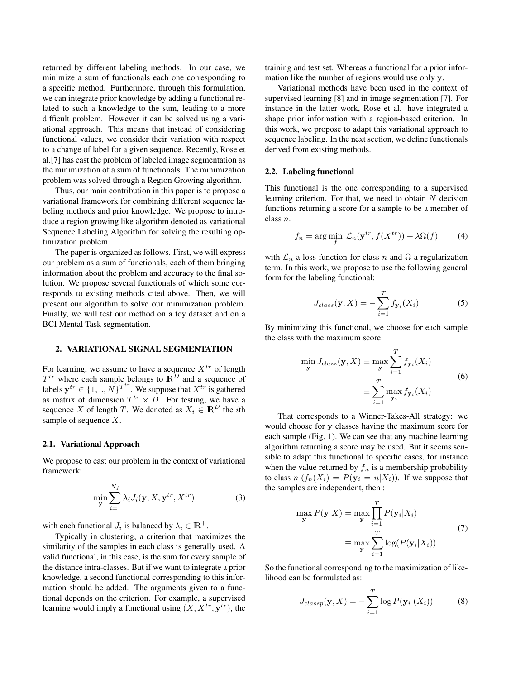returned by different labeling methods. In our case, we minimize a sum of functionals each one corresponding to a specific method. Furthermore, through this formulation, we can integrate prior knowledge by adding a functional related to such a knowledge to the sum, leading to a more difficult problem. However it can be solved using a variational approach. This means that instead of considering functional values, we consider their variation with respect to a change of label for a given sequence. Recently, Rose et al.[7] has cast the problem of labeled image segmentation as the minimization of a sum of functionals. The minimization problem was solved through a Region Growing algorithm.

Thus, our main contribution in this paper is to propose a variational framework for combining different sequence labeling methods and prior knowledge. We propose to introduce a region growing like algorithm denoted as variational Sequence Labeling Algorithm for solving the resulting optimization problem.

The paper is organized as follows. First, we will express our problem as a sum of functionals, each of them bringing information about the problem and accuracy to the final solution. We propose several functionals of which some corresponds to existing methods cited above. Then, we will present our algorithm to solve our minimization problem. Finally, we will test our method on a toy dataset and on a BCI Mental Task segmentation.

# 2. VARIATIONAL SIGNAL SEGMENTATION

For learning, we assume to have a sequence  $X^{tr}$  of length  $T^{tr}$  where each sample belongs to  $\mathbb{R}^D$  and a sequence of labels  $y^{tr} \in \{1, ..., N\}^{T^{tr}}$ . We suppose that  $X^{tr}$  is gathered as matrix of dimension  $T^{tr} \times D$ . For testing, we have a sequence X of length T. We denoted as  $X_i \in \mathbb{R}^D$  the *i*th sample of sequence  $X$ .

## 2.1. Variational Approach

We propose to cast our problem in the context of variational framework:

$$
\min_{\mathbf{y}} \sum_{i=1}^{N_f} \lambda_i J_i(\mathbf{y}, X, \mathbf{y}^{tr}, X^{tr})
$$
\n(3)

with each functional  $J_i$  is balanced by  $\lambda_i \in \mathbb{R}^+$ .

Typically in clustering, a criterion that maximizes the similarity of the samples in each class is generally used. A valid functional, in this case, is the sum for every sample of the distance intra-classes. But if we want to integrate a prior knowledge, a second functional corresponding to this information should be added. The arguments given to a functional depends on the criterion. For example, a supervised learning would imply a functional using  $(X, X^{tr}, y^{tr})$ , the

training and test set. Whereas a functional for a prior information like the number of regions would use only y.

Variational methods have been used in the context of supervised learning [8] and in image segmentation [7]. For instance in the latter work, Rose et al. have integrated a shape prior information with a region-based criterion. In this work, we propose to adapt this variational approach to sequence labeling. In the next section, we define functionals derived from existing methods.

#### 2.2. Labeling functional

This functional is the one corresponding to a supervised learning criterion. For that, we need to obtain  $N$  decision functions returning a score for a sample to be a member of class n.

$$
f_n = \arg\min_{f} \mathcal{L}_n(\mathbf{y}^{tr}, f(X^{tr})) + \lambda \Omega(f) \tag{4}
$$

with  $\mathcal{L}_n$  a loss function for class n and  $\Omega$  a regularization term. In this work, we propose to use the following general form for the labeling functional:

$$
J_{class}(\mathbf{y}, X) = -\sum_{i=1}^{T} f_{\mathbf{y}_i}(X_i)
$$
 (5)

By minimizing this functional, we choose for each sample the class with the maximum score:

$$
\min_{\mathbf{y}} J_{class}(\mathbf{y}, X) \equiv \max_{\mathbf{y}} \sum_{i=1}^{T} f_{\mathbf{y}_i}(X_i)
$$
\n
$$
\equiv \sum_{i=1}^{T} \max_{\mathbf{y}_i} f_{\mathbf{y}_i}(X_i)
$$
\n(6)

That corresponds to a Winner-Takes-All strategy: we would choose for y classes having the maximum score for each sample (Fig. 1). We can see that any machine learning algorithm returning a score may be used. But it seems sensible to adapt this functional to specific cases, for instance when the value returned by  $f_n$  is a membership probability to class  $n(f_n(X_i) = P(\mathbf{y}_i = n | X_i))$ . If we suppose that the samples are independent, then :

$$
\max_{\mathbf{y}} P(\mathbf{y}|X) = \max_{\mathbf{y}} \prod_{i=1}^{T} P(\mathbf{y}_i|X_i)
$$

$$
\equiv \max_{\mathbf{y}} \sum_{i=1}^{T} \log(P(\mathbf{y}_i|X_i))
$$
(7)

So the functional corresponding to the maximization of likelihood can be formulated as:

$$
J_{classp}(\mathbf{y}, X) = -\sum_{i=1}^{T} \log P(\mathbf{y}_i | (X_i))
$$
 (8)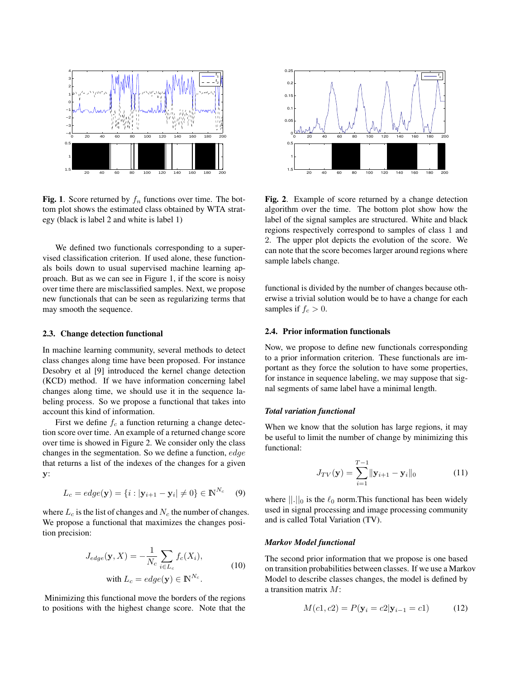

**Fig. 1.** Score returned by  $f_n$  functions over time. The bottom plot shows the estimated class obtained by WTA strategy (black is label 2 and white is label 1)

We defined two functionals corresponding to a supervised classification criterion. If used alone, these functionals boils down to usual supervised machine learning approach. But as we can see in Figure 1, if the score is noisy over time there are misclassified samples. Next, we propose new functionals that can be seen as regularizing terms that may smooth the sequence.

#### 2.3. Change detection functional

In machine learning community, several methods to detect class changes along time have been proposed. For instance Desobry et al [9] introduced the kernel change detection (KCD) method. If we have information concerning label changes along time, we should use it in the sequence labeling process. So we propose a functional that takes into account this kind of information.

First we define  $f_c$  a function returning a change detection score over time. An example of a returned change score over time is showed in Figure 2. We consider only the class changes in the segmentation. So we define a function, edge that returns a list of the indexes of the changes for a given y:

$$
L_c = edge(\mathbf{y}) = \{i : |\mathbf{y}_{i+1} - \mathbf{y}_i| \neq 0\} \in \mathbb{N}^{N_c} \quad (9)
$$

where  $L_c$  is the list of changes and  $N_c$  the number of changes. We propose a functional that maximizes the changes position precision:

$$
J_{edge}(\mathbf{y}, X) = -\frac{1}{N_c} \sum_{i \in L_c} f_c(X_i),
$$
  
with  $L_c = edge(\mathbf{y}) \in \mathbb{N}^{N_c}.$  (10)

Minimizing this functional move the borders of the regions to positions with the highest change score. Note that the



Fig. 2. Example of score returned by a change detection algorithm over the time. The bottom plot show how the label of the signal samples are structured. White and black regions respectively correspond to samples of class 1 and 2. The upper plot depicts the evolution of the score. We can note that the score becomes larger around regions where sample labels change.

functional is divided by the number of changes because otherwise a trivial solution would be to have a change for each samples if  $f_c > 0$ .

## 2.4. Prior information functionals

Now, we propose to define new functionals corresponding to a prior information criterion. These functionals are important as they force the solution to have some properties, for instance in sequence labeling, we may suppose that signal segments of same label have a minimal length.

## *Total variation functional*

When we know that the solution has large regions, it may be useful to limit the number of change by minimizing this functional:

$$
J_{TV}(\mathbf{y}) = \sum_{i=1}^{T-1} ||\mathbf{y}_{i+1} - \mathbf{y}_i||_0
$$
 (11)

where  $||.||_0$  is the  $\ell_0$  norm. This functional has been widely used in signal processing and image processing community and is called Total Variation (TV).

# *Markov Model functional*

The second prior information that we propose is one based on transition probabilities between classes. If we use a Markov Model to describe classes changes, the model is defined by a transition matrix M:

$$
M(c1, c2) = P(\mathbf{y}_i = c2|\mathbf{y}_{i-1} = c1)
$$
 (12)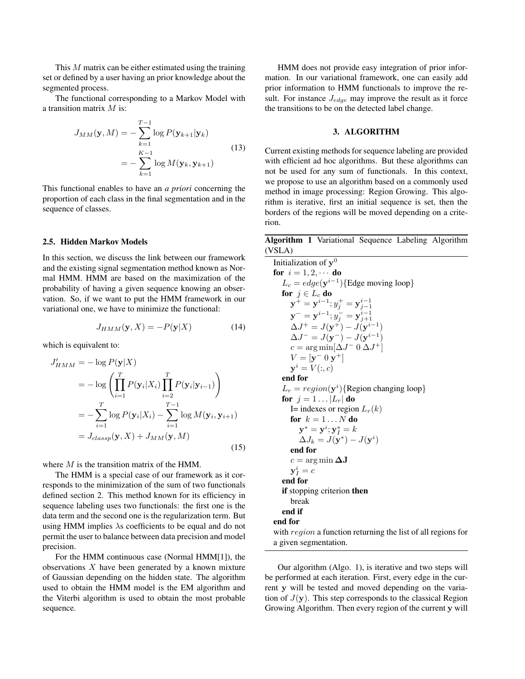This M matrix can be either estimated using the training set or defined by a user having an prior knowledge about the segmented process.

The functional corresponding to a Markov Model with a transition matrix M is:

$$
J_{MM}(\mathbf{y}, M) = -\sum_{k=1}^{T-1} \log P(\mathbf{y}_{k+1}|\mathbf{y}_k)
$$
  
= 
$$
-\sum_{k=1}^{K-1} \log M(\mathbf{y}_k, \mathbf{y}_{k+1})
$$
 (13)

This functional enables to have an *a priori* concerning the proportion of each class in the final segmentation and in the sequence of classes.

#### 2.5. Hidden Markov Models

In this section, we discuss the link between our framework and the existing signal segmentation method known as Normal HMM. HMM are based on the maximization of the probability of having a given sequence knowing an observation. So, if we want to put the HMM framework in our variational one, we have to minimize the functional:

$$
J_{HMM}(\mathbf{y}, X) = -P(\mathbf{y}|X)
$$
 (14)

which is equivalent to:

$$
J'_{HMM} = -\log P(\mathbf{y}|X)
$$
  
=  $-\log \left( \prod_{i=1}^{T} P(\mathbf{y}_i|X_i) \prod_{i=2}^{T} P(\mathbf{y}_i|\mathbf{y}_{i-1}) \right)$   
=  $-\sum_{i=1}^{T} \log P(\mathbf{y}_i|X_i) - \sum_{i=1}^{T-1} \log M(\mathbf{y}_i, \mathbf{y}_{i+1})$   
=  $J_{classp}(\mathbf{y}, X) + J_{MM}(\mathbf{y}, M)$  (15)

where  $M$  is the transition matrix of the HMM.

The HMM is a special case of our framework as it corresponds to the minimization of the sum of two functionals defined section 2. This method known for its efficiency in sequence labeling uses two functionals: the first one is the data term and the second one is the regularization term. But using HMM implies  $\lambda$ s coefficients to be equal and do not permit the user to balance between data precision and model precision.

For the HMM continuous case (Normal HMM[1]), the observations  $X$  have been generated by a known mixture of Gaussian depending on the hidden state. The algorithm used to obtain the HMM model is the EM algorithm and the Viterbi algorithm is used to obtain the most probable sequence.

HMM does not provide easy integration of prior information. In our variational framework, one can easily add prior information to HMM functionals to improve the result. For instance  $J_{edge}$  may improve the result as it force the transitions to be on the detected label change.

# 3. ALGORITHM

Current existing methods for sequence labeling are provided with efficient ad hoc algorithms. But these algorithms can not be used for any sum of functionals. In this context, we propose to use an algorithm based on a commonly used method in image processing: Region Growing. This algorithm is iterative, first an initial sequence is set, then the borders of the regions will be moved depending on a criterion.

Algorithm 1 Variational Sequence Labeling Algorithm (VSLA)

Initialization of  $y^0$ for  $i = 1, 2, \cdots$  do  $L_c = edge(\mathbf{y}^{i-1})$ {Edge moving loop} for  $j \in L_c$  do  ${\bf y}^+={\bf y}^{i-1};y^+_j={\bf y}^{i-1}_{j-1}$  ${\bf y}^-={\bf y}^{i-1};y^-_j={\bf y}^{i-1}_{j+1}$  $\Delta J^{+} = J({\bf y}^{+}) - J({\bf y}^{i-1})$  $\Delta J^{-} = J(\mathbf{y}^{-}) - J(\mathbf{y}^{i-1})$  $c = \arg \min[\Delta J^{-} 0 \, \Delta J^{+}]$  $V = [\mathbf{y}^- 0 \mathbf{y}^+]$  $y^i = V(:, c)$ end for  $L_r = region(\mathbf{y}^i)$ {Region changing loop} for  $j = 1 \dots |L_r|$  do I= indexes or region  $L_r(k)$ for  $k = 1...N$  do  $\mathbf{y}^* = \mathbf{y}^i; \mathbf{y}_I^* = k$  $\Delta J_k = J(\mathbf{y}^*) - J(\mathbf{y}^i)$ end for  $c = \arg \min \Delta J$  $y_I^i = c$ end for if stopping criterion then break end if end for with *region* a function returning the list of all regions for a given segmentation.

Our algorithm (Algo. 1), is iterative and two steps will be performed at each iteration. First, every edge in the current y will be tested and moved depending on the variation of  $J(y)$ . This step corresponds to the classical Region Growing Algorithm. Then every region of the current y will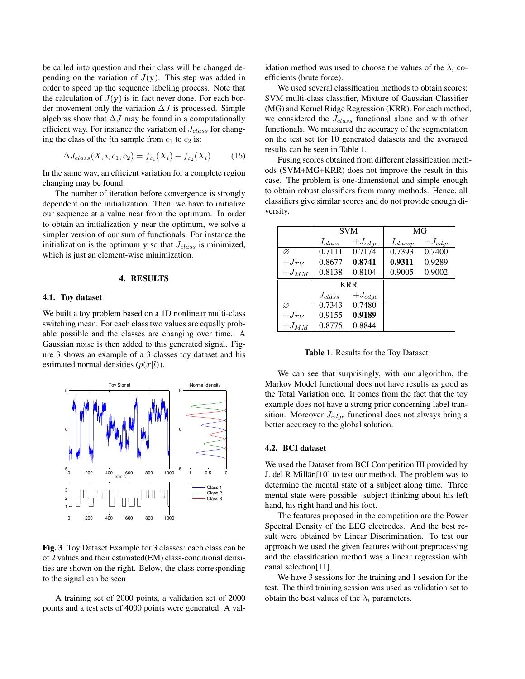be called into question and their class will be changed depending on the variation of  $J(y)$ . This step was added in order to speed up the sequence labeling process. Note that the calculation of  $J(y)$  is in fact never done. For each border movement only the variation  $\Delta J$  is processed. Simple algebras show that  $\Delta J$  may be found in a computationally efficient way. For instance the variation of  $J_{class}$  for changing the class of the *i*th sample from  $c_1$  to  $c_2$  is:

$$
\Delta J_{class}(X, i, c_1, c_2) = f_{c_1}(X_i) - f_{c_2}(X_i)
$$
 (16)

In the same way, an efficient variation for a complete region changing may be found.

The number of iteration before convergence is strongly dependent on the initialization. Then, we have to initialize our sequence at a value near from the optimum. In order to obtain an initialization y near the optimum, we solve a simpler version of our sum of functionals. For instance the initialization is the optimum  $y$  so that  $J_{class}$  is minimized, which is just an element-wise minimization.

#### 4. RESULTS

# 4.1. Toy dataset

We built a toy problem based on a 1D nonlinear multi-class switching mean. For each class two values are equally probable possible and the classes are changing over time. A Gaussian noise is then added to this generated signal. Figure 3 shows an example of a 3 classes toy dataset and his estimated normal densities  $(p(x|l))$ .



Fig. 3. Toy Dataset Example for 3 classes: each class can be of 2 values and their estimated(EM) class-conditional densities are shown on the right. Below, the class corresponding to the signal can be seen

A training set of 2000 points, a validation set of 2000 points and a test sets of 4000 points were generated. A validation method was used to choose the values of the  $\lambda_i$  coefficients (brute force).

We used several classification methods to obtain scores: SVM multi-class classifier, Mixture of Gaussian Classifier (MG) and Kernel Ridge Regression (KRR). For each method, we considered the  $J_{class}$  functional alone and with other functionals. We measured the accuracy of the segmentation on the test set for 10 generated datasets and the averaged results can be seen in Table 1.

Fusing scores obtained from different classification methods (SVM+MG+KRR) does not improve the result in this case. The problem is one-dimensional and simple enough to obtain robust classifiers from many methods. Hence, all classifiers give similar scores and do not provide enough diversity.

|           | <b>SVM</b>  |             | MG           |             |
|-----------|-------------|-------------|--------------|-------------|
|           | $J_{class}$ | $+J_{edge}$ | $J_{classp}$ | $+J_{edge}$ |
| Ø         | 0.7111      | 0.7174      | 0.7393       | 0.7400      |
| $+J_{TV}$ | 0.8677      | 0.8741      | 0.9311       | 0.9289      |
| $+J_{MM}$ | 0.8138      | 0.8104      | 0.9005       | 0.9002      |
|           | <b>KRR</b>  |             |              |             |
|           | $J_{class}$ | $+J_{edge}$ |              |             |
| Ø         | 0.7343      | 0.7480      |              |             |
| $+J_{TV}$ | 0.9155      | 0.9189      |              |             |
| $+J_{MM}$ | 0.8775      | 0.8844      |              |             |

Table 1. Results for the Toy Dataset

We can see that surprisingly, with our algorithm, the Markov Model functional does not have results as good as the Total Variation one. It comes from the fact that the toy example does not have a strong prior concerning label transition. Moreover  $J_{edge}$  functional does not always bring a better accuracy to the global solution.

# 4.2. BCI dataset

We used the Dataset from BCI Competition III provided by J. del R Millãn[10] to test our method. The problem was to determine the mental state of a subject along time. Three mental state were possible: subject thinking about his left hand, his right hand and his foot.

The features proposed in the competition are the Power Spectral Density of the EEG electrodes. And the best result were obtained by Linear Discrimination. To test our approach we used the given features without preprocessing and the classification method was a linear regression with canal selection[11].

We have 3 sessions for the training and 1 session for the test. The third training session was used as validation set to obtain the best values of the  $\lambda_i$  parameters.